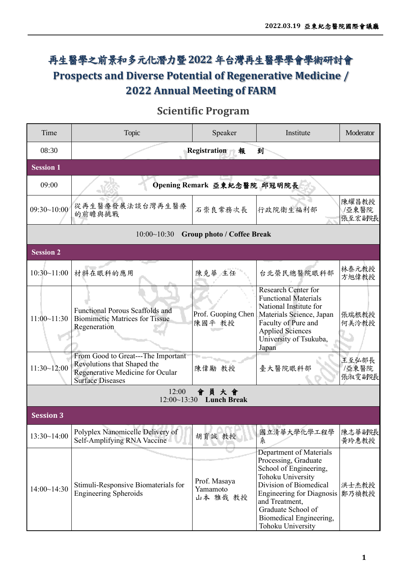## 再生醫學之前景和多元化潛力暨**2022** 年台灣再生醫學學會學術研討會 **Prospects and Diverse Potential of Regenerative Medicine / 2022 Annual Meeting of FARM**

## **Scientific Program**

| Time                                              | Topic                                                                                                                            | Speaker                              | Institute                                                                                                                                                                                                                                            | Moderator                |  |  |
|---------------------------------------------------|----------------------------------------------------------------------------------------------------------------------------------|--------------------------------------|------------------------------------------------------------------------------------------------------------------------------------------------------------------------------------------------------------------------------------------------------|--------------------------|--|--|
| 08:30                                             |                                                                                                                                  | Registration<br>報                    | 到                                                                                                                                                                                                                                                    |                          |  |  |
| <b>Session 1</b>                                  |                                                                                                                                  |                                      |                                                                                                                                                                                                                                                      |                          |  |  |
| 09:00                                             |                                                                                                                                  | Opening Remark 亞東紀念醫院 邱冠明院長          |                                                                                                                                                                                                                                                      |                          |  |  |
| 09:30~10:00                                       | 從再生醫療發展法談台灣再生醫療<br>的前瞻與挑戰                                                                                                        | 石崇良常務次長                              | 行政院衛生福利部                                                                                                                                                                                                                                             | 陳耀昌教授<br>/亞東醫院<br>張至宏副院長 |  |  |
|                                                   | 10:00~10:30                                                                                                                      | <b>Group photo / Coffee Break</b>    |                                                                                                                                                                                                                                                      |                          |  |  |
| <b>Session 2</b>                                  |                                                                                                                                  |                                      |                                                                                                                                                                                                                                                      |                          |  |  |
| 10:30~11:00                                       | 材料在眼科的應用                                                                                                                         | 陳克華 主任                               | 台北榮民總醫院眼科部                                                                                                                                                                                                                                           | 林泰元教授<br>方旭偉教授           |  |  |
| 11:00~11:30                                       | <b>Functional Porous Scaffolds and</b><br><b>Biomimetic Matrices for Tissue</b><br>Regeneration                                  | Prof. Guoping Chen<br>陳國平 教授         | <b>Research Center for</b><br><b>Functional Materials</b><br>National Institute for<br>Materials Science, Japan<br>Faculty of Pure and<br><b>Applied Sciences</b><br>University of Tsukuba,<br>Japan                                                 | 張瑞根教授<br>何美泠教授           |  |  |
| 11:30~12:00                                       | From Good to Great---The Important<br>Revolutions that Shaped the<br>Regenerative Medicine for Ocular<br><b>Surface Diseases</b> | 陳偉勵 教授                               | 臺大醫院眼科部                                                                                                                                                                                                                                              | 王至弘部長<br>/亞東醫院<br>張淑雯副院長 |  |  |
| 12:00<br>員大會<br>12:00~13:30<br><b>Lunch Break</b> |                                                                                                                                  |                                      |                                                                                                                                                                                                                                                      |                          |  |  |
| <b>Session 3</b>                                  |                                                                                                                                  |                                      |                                                                                                                                                                                                                                                      |                          |  |  |
| 13:30~14:00                                       | Polyplex Nanomicelle Delivery of<br>Self-Amplifying RNA Vaccine                                                                  | 胡育誠 教授                               | 國立清華大學化學工程學<br>糸                                                                                                                                                                                                                                     | 陳志華副院長<br>黄玲惠教授          |  |  |
| 14:00~14:30                                       | Stimuli-Responsive Biomaterials for<br><b>Engineering Spheroids</b>                                                              | Prof. Masaya<br>Yamamoto<br>山本 雅哉 教授 | Department of Materials<br>Processing, Graduate<br>School of Engineering,<br>Tohoku University<br>Division of Biomedical<br><b>Engineering for Diagnosis</b><br>and Treatment,<br>Graduate School of<br>Biomedical Engineering,<br>Tohoku University | 洪士杰教授<br>鄭乃禎教授           |  |  |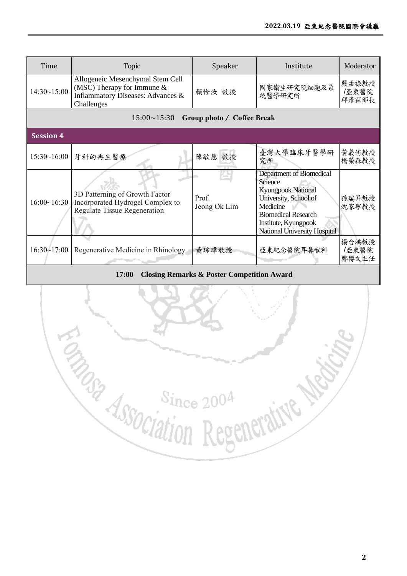| Time                                             | Topic                                                                                                               | Speaker               | Institute                                                                                                                                                                                   | Moderator               |  |  |
|--------------------------------------------------|---------------------------------------------------------------------------------------------------------------------|-----------------------|---------------------------------------------------------------------------------------------------------------------------------------------------------------------------------------------|-------------------------|--|--|
| 14:30~15:00                                      | Allogeneic Mesenchymal Stem Cell<br>(MSC) Therapy for Immune $&$<br>Inflammatory Diseases: Advances &<br>Challenges | 顏伶汝 教授                | 國家衛生研究院細胞及系<br>統醫學研究所                                                                                                                                                                       | 嚴孟祿教授<br>/亞東醫院<br>邱彥霖部長 |  |  |
| $15:00 \sim 15:30$<br>Group photo / Coffee Break |                                                                                                                     |                       |                                                                                                                                                                                             |                         |  |  |
| <b>Session 4</b>                                 |                                                                                                                     |                       |                                                                                                                                                                                             |                         |  |  |
| 15:30~16:00                                      | 牙科的再生醫療                                                                                                             | 陳敏慧 教授                | 臺灣大學臨床牙醫學研<br>究所                                                                                                                                                                            | 黄義侑教授<br>楊榮森教授          |  |  |
| 16:00~16:30                                      | 3D Patterning of Growth Factor<br>Incorporated Hydrogel Complex to<br>Regulate Tissue Regeneration                  | Prof.<br>Jeong Ok Lim | Department of Biomedical<br>Science<br><b>Kyungpook National</b><br>University, School of<br>Medicine<br><b>Biomedical Research</b><br>Institute, Kyungpook<br>National University Hospital | 孫瑞昇教授<br>沈家寧教授          |  |  |
| 16:30~17:00                                      | Regenerative Medicine in Rhinology                                                                                  | 黄琮瑋教授                 | 亞東紀念醫院耳鼻喉科                                                                                                                                                                                  | 楊台鴻教授<br>/亞東醫院<br>鄭博文主任 |  |  |

**17:00 Closing Remarks & Poster Competition Award** 

**Eng** Since 2004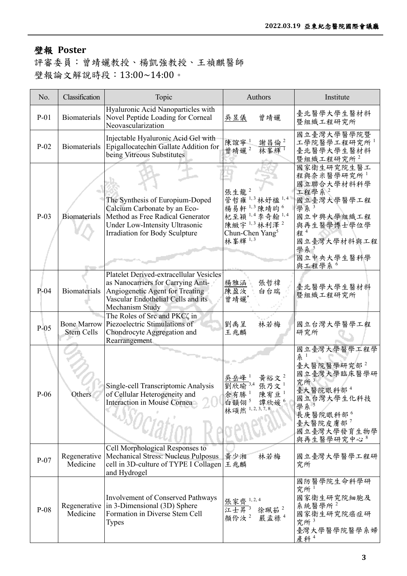## 壁報 **Poster**

評審委員:曾靖孋教授、楊凱強教授、王禎麒醫師 壁報論文解說時段:13:00~14:00。

| No.    | Classification                          | Topic                                                                                                                                                                   | Authors                                                                                                                                          | Institute                                                                                                                                                              |
|--------|-----------------------------------------|-------------------------------------------------------------------------------------------------------------------------------------------------------------------------|--------------------------------------------------------------------------------------------------------------------------------------------------|------------------------------------------------------------------------------------------------------------------------------------------------------------------------|
| $P-01$ |                                         | Hyaluronic Acid Nanoparticles with<br>Biomaterials Novel Peptide Loading for Corneal<br>Neovascularization                                                              | 曾靖孋<br>吳昱儀                                                                                                                                       | 臺北醫學大學生醫材料<br>暨組織工程研究所                                                                                                                                                 |
| $P-02$ | Biomaterials                            | Injectable Hyaluronic Acid Gel with<br>Epigallocatechin Gallate Addition for<br>being Vitreous Substitutes                                                              | 陳誼寧1<br><u>謝昌倫2</u><br>曾靖孋2<br>林峯輝!                                                                                                              | 國立臺灣大學醫學院暨<br>工學院醫學工程研究所1<br>臺北醫學大學生醫材料<br>暨組織工程研究所2                                                                                                                   |
| $P-03$ | <b>Biomaterials</b>                     | The Synthesis of Europium-Doped<br>Calcium Carbonate by an Eco-<br>Method as Free Radical Generator<br>Under Low-Intensity Ultrasonic<br>Irradiation for Body Sculpture | 張生龍<br>管哲雍1,3 林妤楹1,4<br>楊易軒 <sup>1,3</sup> 陳靖昀 <sup>6</sup><br>杞至穎1,4 李奇翰1,4<br>陳緻宇 $1,3$ 林利澤 $^{2}$<br>Chun-Chen Yang <sup>5</sup><br>林峯輝 $1,3$ | 國家衛生研究院生醫工<br>程與奈米醫學研究所1<br>國立聯合大學材料科學<br>工程學系2<br>國立臺灣大學醫學工程<br>學系<br>國立中興大學組織工程<br>與再生醫學博士學位學<br>程 <sup>4</sup><br>國立臺灣大學材料與工程<br>學系 5<br>國立中央大學生醫科學                 |
|        |                                         | Platelet Derived-extracellular Vesicles                                                                                                                                 |                                                                                                                                                  | 與工程學系 <sup>6</sup>                                                                                                                                                     |
| $P-04$ | <b>Biomaterials</b>                     | as Nanocarriers for Carrying Anti-<br>Angiogenetic Agent for Treating<br>Vascular Endothelial Cells and its<br>Mechanism Study                                          | 楊雅涵<br>張哲禕<br>陳盈汝<br>白台瑞<br>曾靖孋*                                                                                                                 | 臺北醫學大學生醫材料<br>暨組織工程研究所                                                                                                                                                 |
| $P-05$ | <b>Bone Marrow</b><br><b>Stem Cells</b> | The Roles of Src and PKC $\zeta$ in<br>Piezoelectric Stimulations of<br>Chondrocyte Aggregation and<br>Rearrangement                                                    | 林若梅<br>劉禹呈<br>王兆麟                                                                                                                                | 國立台灣大學醫學工程<br>研究所                                                                                                                                                      |
| $P-06$ | Others                                  | Single-cell Transcriptomic Analysis<br>of Cellular Heterogeneity and<br>Interaction in Mouse Cornea<br>$\omega_{0}$                                                     | 黃裕文 $2$<br>吳岳峰<br>劉欣瑜 3,4<br>張乃文 $1$<br>余有勝1<br>陳宥亘1<br>白韻翎5<br>譚欣媛 <sup>6</sup><br>林頌然 1, 2, 3, 7, 8                                            | 國立臺灣大學醫學工程學<br>系 1<br>臺大醫院醫學研究部 <sup>2</sup><br>國立臺灣大學臨床醫學研<br>究所 $3$<br>臺大醫院眼科部4<br>國立台灣大學生化科技<br>學系<br>長庚醫院眼科部6<br>臺大醫院皮膚部 <sup>7</sup><br>國立臺灣大學發育生物學<br>與再生醫學研究中心8 |
| $P-07$ | Regenerative<br>Medicine                | Cell Morphological Responses to<br>Mechanical Stress: Nucleus Pulposus<br>cell in 3D-culture of TYPE I Collagen<br>and Hydrogel                                         | 黄少湘<br>林若梅<br>王兆麟                                                                                                                                | 國立臺灣大學醫學工程研<br>究所                                                                                                                                                      |
| $P-08$ | Regenerative<br>Medicine                | Involvement of Conserved Pathways<br>in 3-Dimensional (3D) Sphere<br>Formation in Diverse Stem Cell<br><b>Types</b>                                                     | 張家齊 1,2,4<br>江士昇3<br>徐珮茹 $2$<br>顏伶汝 <sup>2</sup><br>嚴孟祿 <sup>4</sup>                                                                             | 國防醫學院生命科學研<br>究所 $1$<br>國家衛生研究院細胞及<br>系統醫學所2<br>國家衛生研究院癌症研<br>究所 $3$<br>臺灣大學醫學院醫學系婦<br>產科 4                                                                            |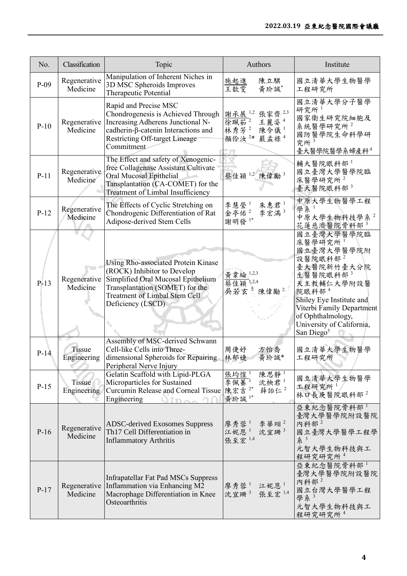| No.    | Classification               | Topic                                                                                                                                                                                                    | Authors                                                                                                    | Institute                                                                                                                                                                                                                                        |
|--------|------------------------------|----------------------------------------------------------------------------------------------------------------------------------------------------------------------------------------------------------|------------------------------------------------------------------------------------------------------------|--------------------------------------------------------------------------------------------------------------------------------------------------------------------------------------------------------------------------------------------------|
| $P-09$ | Regenerative<br>Medicine     | Manipulation of Inherent Niches in<br>3D MSC Spheroids Improves<br>Therapeutic Potential                                                                                                                 | 施起進<br>陳立騏<br>王歆雯<br>黃玠誠*                                                                                  | 國立清華大學生物醫學<br>工程研究所                                                                                                                                                                                                                              |
| $P-10$ | Regenerative<br>Medicine     | Rapid and Precise MSC<br>Chondrogenesis is Achieved Through<br>Increasing Adherens Junctional N-<br>cadherin-β-catenin Interactions and<br><b>Restricting Off-target Lineage</b><br>Commitment           | 張家齊 2,3<br>謝承展 1,2<br>徐珮茹2<br>王麗姿 <sup>4</sup><br>林秀芳 $2$<br>陳令儀1<br>顏伶汝 <sup>2*</sup><br>嚴孟祿 <sup>4</sup> | 國立清華大學分子醫學<br>研究所<br>國家衛生研究院細胞及<br>系統醫學研究所2<br>國防醫學院生命科學研<br>究所 $3$<br>臺大醫學院醫學系婦產科 <sup>4</sup>                                                                                                                                                  |
| $P-11$ | Regenerative<br>Medicine     | The Effect and safety of Xenogenic-<br>free Collagenase Assistant Cultivate<br>Oral Mucosal Epithelial<br>Tansplantation (CA-COMET) for the<br>Treatment of Limbal Insufficiency                         | 陳偉勵3<br>蔡佳穎 1,2                                                                                            | 輔大醫院眼科部1<br>國立臺灣大學醫學院臨<br>床醫學研究所 <sup>2</sup><br>臺大醫院眼科部3                                                                                                                                                                                        |
| $P-12$ | Regenerative<br>Medicine     | The Effects of Cyclic Stretching on<br>Chondrogenic Differentiation of Rat<br>Adipose-derived Stem Cells                                                                                                 | 李慧瑩1<br>朱惠君 $1$<br>金亭佑2<br>李宏滿3<br>謝明發1*                                                                   | 中原大學生物醫學工程<br>學系1<br>中原大學生物科技學系2<br>花蓮慈濟醫院骨科部3                                                                                                                                                                                                   |
| $P-13$ | Regenerative<br>Medicine     | Using Rho-associated Protein Kinase<br>(ROCK) Inhibitor to Develop<br>Simplified Oral Mucosal Epithelium<br>Transplantation (SOMET) for the<br><b>Treatment of Limbal Stem Cell</b><br>Deficiency (LSCD) | 黄韋綸 1,2,3<br>蔡佳穎<br>1,2,4<br>$\overline{5}$<br>吳若玄<br>陳偉勵2                                                 | 國立臺灣大學醫學院臨<br>床醫學研究所 <sup>1</sup><br>國立臺灣大學醫學院附<br>設醫院眼科部2<br>臺大醫院新竹臺大分院<br>生醫醫院眼科部3<br>天主教輔仁大學附設醫<br>院眼科部4<br>Shiley Eye Institute and<br>Viterbi Family Department<br>of Ophthalmology,<br>University of California,<br>San Diego <sup>5</sup> |
| $P-14$ | <b>Tissue</b><br>Engineering | Assembly of MSC-derived Schwann<br>Cell-like Cells into Three-<br>dimensional Spheroids for Repairing<br>Peripheral Nerve Injury                                                                         | 周使好<br>方怡喬<br>黄玠誠*<br>林郁婕                                                                                  | 國立清華大學生物醫學<br>工程研究所                                                                                                                                                                                                                              |
| $P-15$ | Tissue<br>Engineering        | Gelatin Scaffold with Lipid-PLGA<br>Microparticles for Sustained<br>Curcumin Release and Corneal Tissue<br>Engineering<br>$OIm_{\Delta}$                                                                 | 陳思靜<br>張均愷!<br>李佩蓁1<br>沈柍君1<br>陳宏吉 2*<br>薛詒仁 <sup>2</sup><br>黃玠誠1*                                         | 國立清華大學生物醫學<br>工程研究所1<br>林口長庚醫院眼科部2                                                                                                                                                                                                               |
| $P-16$ | Regenerative<br>Medicine     | <b>ADSC-derived Exosomes Suppress</b><br>Th17 Cell Differentiation in<br><b>Inflammatory Arthritis</b>                                                                                                   | 李華翊2<br>廖秀蓉1<br>江妮恩1<br>沈宜珊 $3$<br>張至宏 1,4                                                                 | 亞東紀念醫院骨科部 <sup>1</sup><br>臺灣大學醫學院附設醫院<br>內科部 <sup>2</sup><br>國立臺灣大學醫學工程學<br>条 3<br>元智大學生物科技與工<br>程研究研究所 <sup>4</sup>                                                                                                                             |
| $P-17$ | Medicine                     | Infrapatellar Fat Pad MSCs Suppress<br>Regenerative Inflammation via Enhancing M2<br>Macrophage Differentiation in Knee<br>Osteoarthritis                                                                | 江妮恩1<br>廖秀蓉1<br>沈宜珊3<br>張至宏 1,4                                                                            | 亞東紀念醫院骨科部1<br>臺灣大學醫學院附設醫院<br>內科部 <sup>2</sup><br>國立台灣大學醫學工程<br>學系3<br>元智大學生物科技與工<br>程研究研究所 <sup>4</sup>                                                                                                                                          |